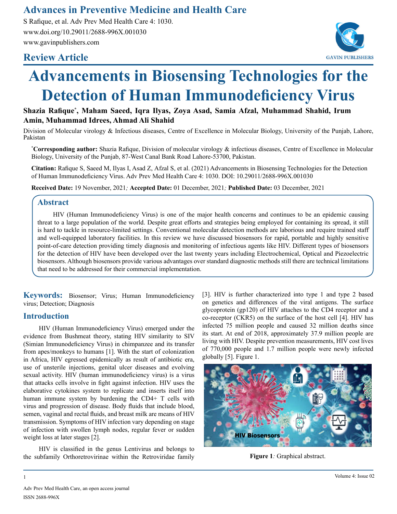# **Advances in Preventive Medicine and Health Care**

S Rafique, et al. Adv Prev Med Health Care 4: 1030. www.doi.org/10.29011/2688-996X.001030 www.gavinpublishers.com

# **Review Article**



# **Advancements in Biosensing Technologies for the Detection of Human Immunodeficiency Virus**

**Shazia Rafique\* , Maham Saeed, Iqra Ilyas, Zoya Asad, Samia Afzal, Muhammad Shahid, Irum Amin, Muhammad Idrees, Ahmad Ali Shahid**

Division of Molecular virology & Infectious diseases, Centre of Excellence in Molecular Biology, University of the Punjab, Lahore, Pakistan

**\* Corresponding author:** Shazia Rafique, Division of molecular virology & infectious diseases, Centre of Excellence in Molecular Biology, University of the Punjab, 87-West Canal Bank Road Lahore-53700, Pakistan.

**Citation:** Rafique S, Saeed M, Ilyas I, Asad Z, Afzal S, et al. (2021) Advancements in Biosensing Technologies for the Detection of Human Immunodeficiency Virus. Adv Prev Med Health Care 4: 1030. DOI: 10.29011/2688-996X.001030

**Received Date:** 19 November, 2021*;* **Accepted Date:** 01 December, 2021*;* **Published Date:** 03 December, 2021

# **Abstract**

HIV (Human Immunodeficiency Virus) is one of the major health concerns and continues to be an epidemic causing threat to a large population of the world. Despite great efforts and strategies being employed for containing its spread, it still is hard to tackle in resource-limited settings. Conventional molecular detection methods are laborious and require trained staff and well-equipped laboratory facilities. In this review we have discussed biosensors for rapid, portable and highly sensitive point-of-care detection providing timely diagnosis and monitoring of infectious agents like HIV. Different types of biosensors for the detection of HIV have been developed over the last twenty years including Electrochemical, Optical and Piezoelectric biosensors. Although biosensors provide various advantages over standard diagnostic methods still there are technical limitations that need to be addressed for their commercial implementation.

**Keywords:** Biosensor; Virus; Human Immunodeficiency virus; Detection; Diagnosis

# **Introduction**

HIV (Human Immunodeficiency Virus) emerged under the evidence from Bushmeat theory, stating HIV similarity to SIV (Simian Immunodeficiency Virus) in chimpanzee and its transfer from apes/monkeys to humans [1]. With the start of colonization in Africa, HIV egressed epidemically as result of antibiotic era, use of unsterile injections, genital ulcer diseases and evolving sexual activity. HIV (human immunodeficiency virus) is a virus that attacks cells involve in fight against infection. HIV uses the elaborative cytokines system to replicate and inserts itself into human immune system by burdening the CD4+ T cells with virus and progression of disease. Body fluids that include blood, semen, vaginal and rectal fluids, and breast milk are means of HIV transmission. Symptoms of HIV infection vary depending on stage of infection with swollen lymph nodes, regular fever or sudden weight loss at later stages [2].

HIV is classified in the genus Lentivirus and belongs to the subfamily Orthoretrovirinae within the Retroviridae family [3]. HIV is further characterized into type 1 and type 2 based on genetics and differences of the viral antigens. The surface glycoprotein (gp120) of HIV attaches to the CD4 receptor and a co-receptor (CKR5) on the surface of the host cell [4]. HIV has infected 75 million people and caused 32 million deaths since its start. At end of 2018, approximately 37.9 million people are living with HIV. Despite prevention measurements, HIV cost lives of 770,000 people and 1.7 million people were newly infected globally [5]. Figure 1.



**Figure 1***:* Graphical abstract.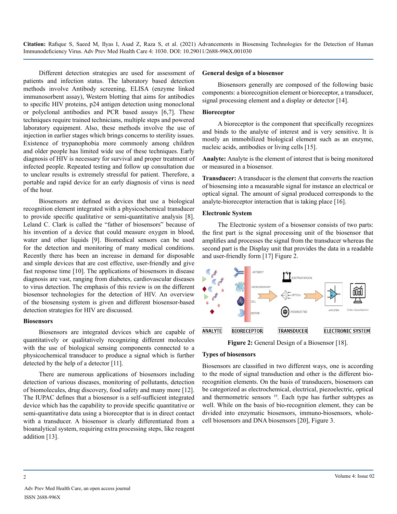Different detection strategies are used for assessment of patients and infection status. The laboratory based detection methods involve Antibody screening, ELISA (enzyme linked immunosorbent assay), Western blotting that aims for antibodies to specific HIV proteins, p24 antigen detection using monoclonal or polyclonal antibodies and PCR based assays [6,7]. These techniques require trained technicians, multiple steps and powered laboratory equipment. Also, these methods involve the use of injection in earlier stages which brings concerns to sterility issues. Existence of trypanophobia more commonly among children and older people has limited wide use of these techniques. Early diagnosis of HIV is necessary for survival and proper treatment of infected people. Repeated testing and follow up consultation due to unclear results is extremely stressful for patient. Therefore, a portable and rapid device for an early diagnosis of virus is need of the hour.

Biosensors are defined as devices that use a biological recognition element integrated with a physicochemical transducer to provide specific qualitative or semi-quantitative analysis [8]. Leland C. Clark is called the "father of biosensors" because of his invention of a device that could measure oxygen in blood, water and other liquids [9]. Biomedical sensors can be used for the detection and monitoring of many medical conditions. Recently there has been an increase in demand for disposable and simple devices that are cost effective, user-friendly and give fast response time [10]. The applications of biosensors in disease diagnosis are vast, ranging from diabetes, cardiovascular diseases to virus detection. The emphasis of this review is on the different biosensor technologies for the detection of HIV. An overview of the biosensing system is given and different biosensor-based detection strategies for HIV are discussed.

## **Biosensors**

Biosensors are integrated devices which are capable of quantitatively or qualitatively recognizing different molecules with the use of biological sensing components connected to a physicochemical transducer to produce a signal which is further detected by the help of a detector [11].

There are numerous applications of biosensors including detection of various diseases, monitoring of pollutants, detection of biomolecules, drug discovery, food safety and many more [12]. The IUPAC defines that a biosensor is a self-sufficient integrated device which has the capability to provide specific quantitative or semi-quantitative data using a bioreceptor that is in direct contact with a transducer. A biosensor is clearly differentiated from a bioanalytical system, requiring extra processing steps, like reagent addition [13].

## **General design of a biosensor**

Biosensors generally are composed of the following basic components: a biorecognition element or bioreceptor, a transducer, signal processing element and a display or detector [14].

## **Bioreceptor**

A bioreceptor is the component that specifically recognizes and binds to the analyte of interest and is very sensitive. It is mostly an immobilized biological element such as an enzyme, nucleic acids, antibodies or living cells [15].

**Analyte:** Analyte is the element of interest that is being monitored or measured in a biosensor.

**Transducer:** A transducer is the element that converts the reaction of biosensing into a measurable signal for instance an electrical or optical signal. The amount of signal produced corresponds to the analyte-bioreceptor interaction that is taking place [16].

# **Electronic System**

The Electronic system of a biosensor consists of two parts: the first part is the signal processing unit of the biosensor that amplifies and processes the signal from the transducer whereas the second part is the Display unit that provides the data in a readable and user-friendly form [17] Figure 2.



**Figure 2:** General Design of a Biosensor [18].

## **Types of biosensors**

Biosensors are classified in two different ways, one is according to the mode of signal transduction and other is the different biorecognition elements. On the basis of transducers, biosensors can be categorized as electrochemical, electrical, piezoelectric, optical and thermometric sensors 19. Each type has further subtypes as well. While on the basis of bio-recognition element, they can be divided into enzymatic biosensors, immuno-biosensors, wholecell biosensors and DNA biosensors [20], Figure 3.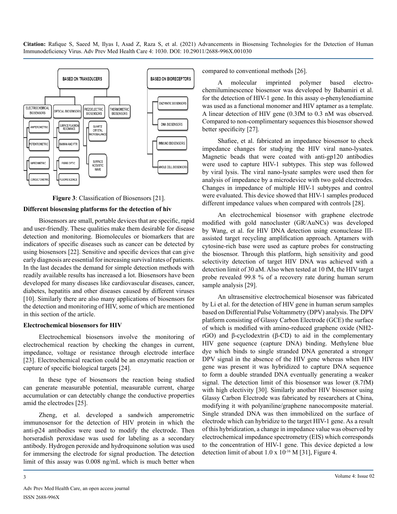

**Figure 3**: Classification of Biosensors [21].

# **Different biosensing platforms for the detection of hiv**

Biosensors are small, portable devices that are specific, rapid and user-friendly. These qualities make them desirable for disease detection and monitoring. Biomolecules or biomarkers that are indicators of specific diseases such as cancer can be detected by using biosensors [22]. Sensitive and specific devices that can give early diagnosis are essential for increasing survival rates of patients. In the last decades the demand for simple detection methods with readily available results has increased a lot. Biosensors have been developed for many diseases like cardiovascular diseases, cancer, diabetes, hepatitis and other diseases caused by different viruses [10]. Similarly there are also many applications of biosensors for the detection and monitoring of HIV, some of which are mentioned in this section of the article.

#### **Electrochemical biosensors for HIV**

Electrochemical biosensors involve the monitoring of electrochemical reaction by checking the changes in current, impedance, voltage or resistance through electrode interface [23]. Electrochemical reaction could be an enzymatic reaction or capture of specific biological targets [24].

In these type of biosensors the reaction being studied can generate measurable potential, measurable current, charge accumulation or can detectably change the conductive properties amid the electrodes [25].

Zheng, et al. developed a sandwich amperometric immunosensor for the detection of HIV protein in which the anti-p24 antibodies were used to modify the electrode. Then horseradish peroxidase was used for labeling as a secondary antibody. Hydrogen peroxide and hydroquinone solution was used for immersing the electrode for signal production. The detection limit of this assay was 0.008 ng/mL which is much better when

compared to conventional methods [26].

A molecular imprinted polymer based electrochemiluminescence biosensor was developed by Babamiri et al. for the detection of HIV-1 gene. In this assay o-phenylenediamine was used as a functional monomer and HIV aptamer as a template. A linear detection of HIV gene (0.3fM to 0.3 nM was observed. Compared to non-complimentary sequences this biosensor showed better specificity [27].

Shafiee, et al. fabricated an impedance biosensor to check impedance changes for studying the HIV viral nano-lysates. Magnetic beads that were coated with anti-gp120 antibodies were used to capture HIV-1 subtypes. This step was followed by viral lysis. The viral nano-lysate samples were used then for analysis of impedance by a microdevice with two gold electrodes. Changes in impedance of multiple HIV-1 subtypes and control were evaluated. This device showed that HIV-1 samples produced different impedance values when compared with controls [28].

An electrochemical biosensor with graphene electrode modified with gold nanocluster (GR/AuNCs) was developed by Wang, et al. for HIV DNA detection using exonuclease IIIassisted target recycling amplification approach. Aptamers with cytosine-rich base were used as capture probes for constructing the biosensor. Through this platform, high sensitivity and good selectivity detection of target HIV DNA was achieved with a detection limit of 30 aM. Also when tested at 10 fM, the HIV target probe revealed 99.8 % of a recovery rate during human serum sample analysis [29].

An ultrasensitive electrochemical biosensor was fabricated by Li et al. for the detection of HIV gene in human serum samples based on Differential Pulse Voltammetry (DPV) analysis. The DPV platform consisting of Glassy Carbon Electrode (GCE) the surface of which is modified with amino-reduced graphene oxide (NH2 rGO) and β-cyclodextrin (β-CD) to aid in the complementary HIV gene sequence (capture DNA) binding. Methylene blue dye which binds to single stranded DNA generated a stronger DPV signal in the absence of the HIV gene whereas when HIV gene was present it was hybridized to capture DNA sequence to form a double stranded DNA eventually generating a weaker signal. The detection limit of this biosensor was lower (8.7fM) with high electivity [30]. Similarly another HIV biosensor using Glassy Carbon Electrode was fabricated by researchers at China, modifying it with polyaniline/graphene nanocomposite material. Single stranded DNA was then immobilized on the surface of electrode which can hybridize to the target HIV-1 gene. As a result of this hybridization, a change in impedance value was observed by electrochemical impedance spectrometry (EIS) which corresponds to the concentration of HIV-1 gene. This device depicted a low detection limit of about  $1.0 \times 10^{-16}$  M [31], Figure 4.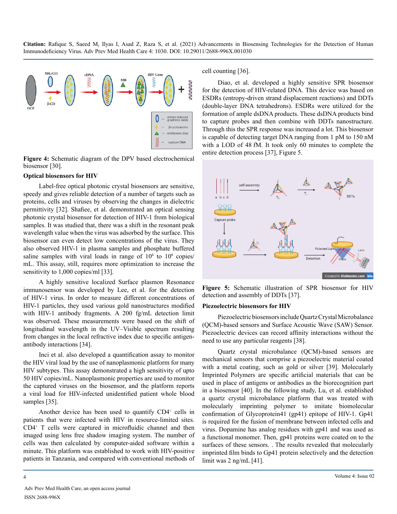

**Figure 4:** Schematic diagram of the DPV based electrochemical biosensor [30].

# **Optical biosensors for HIV**

Label-free optical photonic crystal biosensors are sensitive, speedy and gives reliable detection of a number of targets such as proteins, cells and viruses by observing the changes in dielectric permittivity [32]. Shafiee, et al. demonstrated an optical sensing photonic crystal biosensor for detection of HIV-1 from biological samples. It was studied that, there was a shift in the resonant peak wavelength value when the virus was adsorbed by the surface. This biosensor can even detect low concentrations of the virus. They also observed HIV-1 in plasma samples and phosphate buffered saline samples with viral loads in range of  $10<sup>4</sup>$  to  $10<sup>8</sup>$  copies/ mL. This assay, still, requires more optimization to increase the sensitivity to 1,000 copies/ml [33].

A highly sensitive localized Surface plasmon Resonance immunosensor was developed by Lee, et al. for the detection of HIV-1 virus. In order to measure different concentrations of HIV-1 particles, they used various gold nanostructures modified with HIV-1 antibody fragments. A 200 fg/mL detection limit was observed. These measurements were based on the shift of longitudinal wavelength in the UV–Visible spectrum resulting from changes in the local refractive index due to specific antigenantibody interactions [34].

Inci et al. also developed a quantification assay to monitor the HIV viral load by the use of nanoplasmonic platform for many HIV subtypes. This assay demonstrated a high sensitivity of upto 50 HIV copies/mL. Nanoplasmonic properties are used to monitor the captured viruses on the biosensor, and the platform reports a viral load for HIV-infected unidentified patient whole blood samples [35].

Another device has been used to quantify CD4<sup>+</sup> cells in patients that were infected with HIV in resource-limited sites. CD4+ T cells were captured in microfluidic channel and then imaged using lens free shadow imaging system. The number of cells was then calculated by computer-aided software within a minute. This platform was established to work with HIV-positive patients in Tanzania, and compared with conventional methods of cell counting [36].

Diao, et al. developed a highly sensitive SPR biosensor for the detection of HIV-related DNA. This device was based on ESDRs (entropy-driven strand displacement reactions) and DDTs (double-layer DNA tetrahedrons). ESDRs were utilized for the formation of ample dsDNA products. These dsDNA products bind to capture probes and then combine with DDTs nanostructure. Through this the SPR response was increased a lot. This biosensor is capable of detecting target DNA ranging from 1 pM to 150 nM with a LOD of 48 fM. It took only 60 minutes to complete the entire detection process [37], Figure 5.



**Figure 5:** Schematic illustration of SPR biosensor for HIV detection and assembly of DDTs [37].

#### **Piezoelectric biosensors for HIV**

Piezoelectric biosensors include Quartz Crystal Microbalance (QCM)-based sensors and Surface Acoustic Wave (SAW) Sensor. Piezoelectric devices can record affinity interactions without the need to use any particular reagents [38].

Quartz crystal microbalance (QCM)-based sensors are mechanical sensors that comprise a piezoelectric material coated with a metal coating, such as gold or silver [39]. Molecularly Imprinted Polymers are specific artificial materials that can be used in place of antigens or antibodies as the biorecognition part in a biosensor [40]. In the following study, Lu, et al. established a quartz crystal microbalance platform that was treated with molecularly imprinting polymer to imitate biomolecular confirmation of Glycoprotein41 (gp41) epitope of HIV-1. Gp41 is required for the fusion of membrane between infected cells and virus. Dopamine has analog residues with gp41 and was used as a functional monomer. Then, gp41 proteins were coated on to the surfaces of these sensors. . The results revealed that molecularly imprinted film binds to Gp41 protein selectively and the detection limit was 2 ng/mL [41].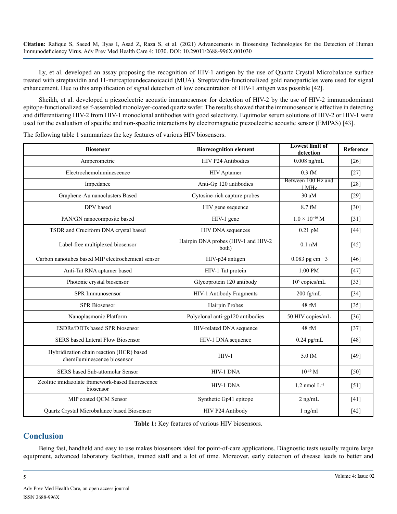Ly, et al. developed an assay proposing the recognition of HIV-1 antigen by the use of Quartz Crystal Microbalance surface treated with streptavidin and 11-mercaptoundecanoicacid (MUA). Streptavidin-functionalized gold nanoparticles were used for signal enhancement. Due to this amplification of signal detection of low concentration of HIV-1 antigen was possible [42].

Sheikh, et al. developed a piezoelectric acoustic immunosensor for detection of HIV-2 by the use of HIV-2 immunodominant epitope-functionalized self-assembled monolayer-coated quartz wafer. The results showed that the immunosensor is effective in detecting and differentiating HIV-2 from HIV-1 monoclonal antibodies with good selectivity. Equimolar serum solutions of HIV-2 or HIV-1 were used for the evaluation of specific and non-specific interactions by electromagnetic piezoelectric acoustic sensor (EMPAS) [43].

**Biosensor Biorecognition element Lowest limit of Biorecognition element Lowest limit of detection** Reference Amperometric **HIV P24 Antibodies** 1 0.008 ng/mL [26] Electrochemoluminescence HIV Aptamer 1 0.3 fM [27] Impedance Anti-Gp 120 antibodies Between 100 Hz and  $\frac{1 \text{ MHz}}{1 \text{ MHz}}$  [28] Graphene-Au nanoclusters Based Cytosine-rich capture probes 30 aM [29] DPV based HIV gene sequence 8.7 fM [30] PAN/GN nanocomposite based  $HIV-1$  gene  $HIV-1$  and  $1.0 \times 10^{-16}$  M [31] TSDR and Cruciform DNA crystal based HIV DNA sequences and  $(144)$ Label-free multiplexed biosensor Hairpin DNA probes (HIV-1 and HIV-2 both) both)  $0.1 \text{ nM}$  [45] Carbon nanotubes based MIP electrochemical sensor  $\vert$  HIV-p24 antigen  $\vert$  0.083 pg cm −3  $\vert$  [46] Anti-Tat RNA aptamer based HIV-1 Tat protein 1:00 PM [47] Photonic crystal biosensor and Glycoprotein 120 antibody 10<sup>5</sup> copies/mL [33] SPR Immunosensor HIV-1 Antibody Fragments 200 fg/mL [34] SPR Biosensor **Hairpin Probes** 1 48 fM [35] Nanoplasmonic Platform Polyclonal anti-gp120 antibodies 100 HIV copies/mL [36] ESDRs/DDTs based SPR biosensor HIV-related DNA sequence 48 fM [37] SERS based Lateral Flow Biosensor HIV-1 DNA sequence 1 0.24 pg/mL [48] Hybridization chain reaction (HCR) based chemiluminescence biosensor <br>
HIV-1 5.0 fM [49] SERS based Sub-attomolar Sensor **HIV-1 DNA** 10<sup>-19</sup> M [50] Zeolitic imidazolate framework-based fluorescence biosensor  $\begin{bmatrix} \text{HIV-1 DNA} \\ \text{biasensor} \end{bmatrix}$  [51] MIP coated QCM Sensor <br>
Synthetic Gp41 epitope 2 ng/mL [41] Quartz Crystal Microbalance based Biosensor HIV P24 Antibody 1 ng/ml [42]

The following table 1 summarizes the key features of various HIV biosensors.

**Table 1:** Key features of various HIV biosensors.

# **Conclusion**

Being fast, handheld and easy to use makes biosensors ideal for point-of-care applications. Diagnostic tests usually require large equipment, advanced laboratory facilities, trained staff and a lot of time. Moreover, early detection of disease leads to better and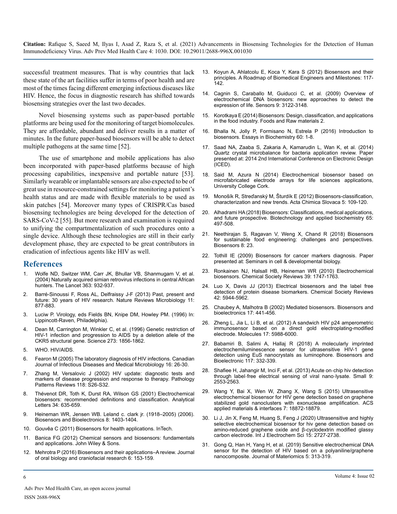successful treatment measures. That is why countries that lack these state of the art facilities suffer in terms of poor health and are most of the times facing different emerging infectious diseases like HIV. Hence, the focus in diagnostic research has shifted towards biosensing strategies over the last two decades.

Novel biosensing systems such as paper-based portable platforms are being used for the monitoring of target biomolecules. They are affordable, abundant and deliver results in a matter of minutes. In the future paper-based biosensors will be able to detect multiple pathogens at the same time [52].

The use of smartphone and mobile applications has also been incorporated with paper-based platforms because of high processing capabilities, inexpensive and portable nature [53]. Similarly wearable or implantable sensors are also expected to be of great use in resource-constrained settings for monitoring a patient's health status and are made with flexible materials to be used as skin patches [54]. Moreover many types of CRISPR/Cas based biosensing technologies are being developed for the detection of SARS-CoV-2 [55]. But more research and examination is required to unifying the compartmentalization of such procedures onto a single device. Although these technologies are still in their early development phase, they are expected to be great contributors in eradication of infectious agents like HIV as well.

# **References**

- 1. [Wolfe ND, Switzer WM, Carr JK, Bhullar VB, Shanmugam V, et al.](https://pubmed.ncbi.nlm.nih.gov/15043960/)  [\(2004\) Naturally acquired simian retrovirus infections in central African](https://pubmed.ncbi.nlm.nih.gov/15043960/)  [hunters. The Lancet 363: 932-937](https://pubmed.ncbi.nlm.nih.gov/15043960/).
- 2. [Barré-Sinoussi F, Ross AL, Delfraissy J-F \(2013\) Past, present and](https://pubmed.ncbi.nlm.nih.gov/24162027/)  [future: 30 years of HIV research. Nature Reviews Microbiology 11:](https://pubmed.ncbi.nlm.nih.gov/24162027/)  [877-883.](https://pubmed.ncbi.nlm.nih.gov/24162027/)
- 3. [Luciw P. Virology, eds Fields BN, Knipe DM, Howley PM. \(1996\) In:](https://www.worldcat.org/title/fields-virology/oclc/32512536)  [Lippincott-Raven, Philadelphia\).](https://www.worldcat.org/title/fields-virology/oclc/32512536)
- 4. [Dean M, Carrington M, Winkler C, et al. \(1996\) Genetic restriction of](https://pubmed.ncbi.nlm.nih.gov/8791590/)  [HIV-1 infection and progression to AIDS by a deletion allele of the](https://pubmed.ncbi.nlm.nih.gov/8791590/)  [CKR5 structural gene. Science 273: 1856-1862.](https://pubmed.ncbi.nlm.nih.gov/8791590/)
- 5. WHO. HIV/AIDS.
- 6. [Fearon M \(2005\) The laboratory diagnosis of HIV infections. Canadian](https://www.ncbi.nlm.nih.gov/pmc/articles/PMC2095005/)  [Journal of Infectious Diseases and Medical Microbiology 16: 26-30](https://www.ncbi.nlm.nih.gov/pmc/articles/PMC2095005/).
- 7. [Zhang M, Versalovic J \(2002\) HIV update: diagnostic tests and](https://pubmed.ncbi.nlm.nih.gov/14569811/) [markers of disease progression and response to therapy. Pathology](https://pubmed.ncbi.nlm.nih.gov/14569811/)  [Patterns Reviews 118: S26-S32.](https://pubmed.ncbi.nlm.nih.gov/14569811/)
- Thévenot DR, Toth K, Durst RA, Wilson GS (2001) Electrochemical [biosensors: recommended definitions and classification. Analytical](https://www.tandfonline.com/doi/abs/10.1081/AL-100103209)  [Letters 34: 635-659.](https://www.tandfonline.com/doi/abs/10.1081/AL-100103209)
- Heineman WR, Jensen WB. Leland c. clark jr. (1918–2005) (2006). Biosensors and Bioelectronics 8: 1403-1404.
- 10. [Gouvêa C \(2011\) Biosensors for health applications. InTech.](https://www.researchgate.net/publication/311980125_Biosensors_for_health_applications)
- 11. [Banica FG \(2012\) Chemical sensors and biosensors: fundamentals](https://onlinelibrary.wiley.com/doi/book/10.1002/9781118354162)  [and applications. John Wiley & Sons](https://onlinelibrary.wiley.com/doi/book/10.1002/9781118354162).
- 12. [Mehrotra P \(2016\) Biosensors and their applications–A review. Journal](https://pubmed.ncbi.nlm.nih.gov/27195214/)  [of oral biology and craniofacial research 6: 153-159.](https://pubmed.ncbi.nlm.nih.gov/27195214/)
- 13. [Koyun A, Ahlatcolu E, Koca Y, Kara S \(2012\) Biosensors and their](https://www.intechopen.com/chapters/37345)  [principles. A Roadmap of Biomedical Engineers and Milestones: 117-](https://www.intechopen.com/chapters/37345) [142](https://www.intechopen.com/chapters/37345).
- 14. [Cagnin S, Caraballo M, Guiducci C, et al. \(2009\) Overview of](https://www.ncbi.nlm.nih.gov/pmc/articles/PMC3348825/)  [electrochemical DNA biosensors: new approaches to detect the](https://www.ncbi.nlm.nih.gov/pmc/articles/PMC3348825/) [expression of life. Sensors 9: 3122-3148](https://www.ncbi.nlm.nih.gov/pmc/articles/PMC3348825/).
- 15. [Korotkaya E \(2014\) Biosensors: Design, classification, and applications](https://www.researchgate.net/publication/280267356_Biosensors_Design_Classification_and_Applications_in_the_Food_Industry)  [in the food industry. Foods and Raw materials 2.](https://www.researchgate.net/publication/280267356_Biosensors_Design_Classification_and_Applications_in_the_Food_Industry)
- 16. [Bhalla N, Jolly P, Formisano N, Estrela P \(2016\) Introduction to](https://pubmed.ncbi.nlm.nih.gov/27365030/)  [biosensors. Essays in Biochemistry 60: 1-8.](https://pubmed.ncbi.nlm.nih.gov/27365030/)
- 17. [Saad NA, Zaaba S, Zakaria A, Kamarudin L, Wan K, et al. \(2014\)](https://ieeexplore.ieee.org/document/7015849)  [Quartz crystal microbalance for bacteria application review. Paper](https://ieeexplore.ieee.org/document/7015849)  [presented at: 2014 2nd International Conference on Electronic Design](https://ieeexplore.ieee.org/document/7015849)  [\(ICED\)](https://ieeexplore.ieee.org/document/7015849).
- 18. [Said M, Azura N \(2014\) Electrochemical biosensor based on](https://cora.ucc.ie/handle/10468/1759)  [microfabricated electrode arrays for life sciences applications,](https://cora.ucc.ie/handle/10468/1759)  [University College Cork.](https://cora.ucc.ie/handle/10468/1759)
- 19. [Monošík R, Streďanský M, Šturdík E \(2012\) Biosensors-classification,](https://sciendo.com/article/10.2478/v10188-012-0017-z)  [characterization and new trends. Acta Chimica Slovaca 5: 109-120.](https://sciendo.com/article/10.2478/v10188-012-0017-z)
- 20. [Alhadrami HA \(2018\) Biosensors: Classifications, medical applications,](https://iubmb.onlinelibrary.wiley.com/doi/abs/10.1002/bab.1621?af=R)  [and future prospective. Biotechnology and applied biochemistry 65:](https://iubmb.onlinelibrary.wiley.com/doi/abs/10.1002/bab.1621?af=R)  [497-508](https://iubmb.onlinelibrary.wiley.com/doi/abs/10.1002/bab.1621?af=R).
- 21. [Neethirajan S, Ragavan V, Weng X, Chand R \(2018\) Biosensors](https://www.mdpi.com/2079-6374/8/1/23)  [for sustainable food engineering: challenges and perspectives.](https://www.mdpi.com/2079-6374/8/1/23)  [Biosensors 8: 23.](https://www.mdpi.com/2079-6374/8/1/23)
- 22. [Tothill IE \(2009\) Biosensors for cancer markers diagnosis. Paper](https://www.sciencedirect.com/science/article/pii/S1084952109000196)  [presented at: Seminars in cell & developmental biology](https://www.sciencedirect.com/science/article/pii/S1084952109000196).
- 23. [Ronkainen NJ, Halsall HB, Heineman WR \(2010\) Electrochemical](https://pubs.rsc.org/en/content/articlelanding/2010/cs/b714449k)  [biosensors. Chemical Society Reviews 39: 1747-1763.](https://pubs.rsc.org/en/content/articlelanding/2010/cs/b714449k)
- 24. [Luo X, Davis JJ \(2013\) Electrical biosensors and the label free](https://pubs.rsc.org/en/content/articlelanding/2013/cs/c3cs60077g)  [detection of protein disease biomarkers. Chemical Society Reviews](https://pubs.rsc.org/en/content/articlelanding/2013/cs/c3cs60077g)  [42: 5944-5962.](https://pubs.rsc.org/en/content/articlelanding/2013/cs/c3cs60077g)
- 25. [Chaubey A, Malhotra B \(2002\) Mediated biosensors. Biosensors and](https://pubmed.ncbi.nlm.nih.gov/11959464/)  [bioelectronics 17: 441-456.](https://pubmed.ncbi.nlm.nih.gov/11959464/)
- 26. [Zheng L, Jia L, Li B, et al. \(2012\) A sandwich HIV p24 amperometric](https://www.mdpi.com/1420-3049/17/5/5988)  [immunosensor based on a direct gold electroplating-modified](https://www.mdpi.com/1420-3049/17/5/5988)  [electrode. Molecules 17: 5988-6000](https://www.mdpi.com/1420-3049/17/5/5988).
- 27. [Babamiri B, Salimi A, Hallaj R \(2018\) A molecularly imprinted](https://pubmed.ncbi.nlm.nih.gov/29933224/) [electrochemiluminescence sensor for ultrasensitive HIV-1 gene](https://pubmed.ncbi.nlm.nih.gov/29933224/)  [detection using EuS nanocrystals as luminophore. Biosensors and](https://pubmed.ncbi.nlm.nih.gov/29933224/)  [Bioelectronic 117: 332-339.](https://pubmed.ncbi.nlm.nih.gov/29933224/)
- 28. [Shafiee H, Jahangir M, Inci F, et al. \(2013\) Acute on](https://pubmed.ncbi.nlm.nih.gov/23447456/)‐chip hiv detection through label‐[free electrical sensing of viral nano](https://pubmed.ncbi.nlm.nih.gov/23447456/)‐lysate. Small 9: [2553-2563](https://pubmed.ncbi.nlm.nih.gov/23447456/).
- 29. [Wang Y, Bai X, Wen W, Zhang X, Wang S \(2015\) Ultrasensitive](https://pubs.acs.org/doi/abs/10.1021/acsami.5b05857)  [electrochemical biosensor for HIV gene detection based on graphene](https://pubs.acs.org/doi/abs/10.1021/acsami.5b05857)  [stabilized gold nanoclusters with exonuclease amplification. ACS](https://pubs.acs.org/doi/abs/10.1021/acsami.5b05857)  [applied materials & interfaces 7: 18872-18879](https://pubs.acs.org/doi/abs/10.1021/acsami.5b05857).
- 30. [Li J, Jin X, Feng M, Huang S, Feng J \(2020\) Ultrasensitive and highly](https://www.researchgate.net/publication/339609742_Ultrasensitive_and_Highly_Selective_Electrochemical_Biosensor_for_HIV_Gene_Detection_Based_on_Amino-Reduced_Graphene_Oxide_and_b-cyclodextrin_Modified_Glassy_Carbon_Electrode) [selective electrochemical biosensor for hiv gene detection based on](https://www.researchgate.net/publication/339609742_Ultrasensitive_and_Highly_Selective_Electrochemical_Biosensor_for_HIV_Gene_Detection_Based_on_Amino-Reduced_Graphene_Oxide_and_b-cyclodextrin_Modified_Glassy_Carbon_Electrode)  [amino-reduced graphene oxide and β-cyclodextrin modified glassy](https://www.researchgate.net/publication/339609742_Ultrasensitive_and_Highly_Selective_Electrochemical_Biosensor_for_HIV_Gene_Detection_Based_on_Amino-Reduced_Graphene_Oxide_and_b-cyclodextrin_Modified_Glassy_Carbon_Electrode)  [carbon electrode. Int J Electrochem Sci 15: 2727-2738.](https://www.researchgate.net/publication/339609742_Ultrasensitive_and_Highly_Selective_Electrochemical_Biosensor_for_HIV_Gene_Detection_Based_on_Amino-Reduced_Graphene_Oxide_and_b-cyclodextrin_Modified_Glassy_Carbon_Electrode)
- 31. [Gong Q, Han H, Yang H, et al. \(2019\) Sensitive electrochemical DNA](https://www.sciencedirect.com/science/article/pii/S2352847818301618) sensor for the detection of HIV based on a polyaniline/graphene [nanocomposite. Journal of Materiomics 5: 313-319.](https://www.sciencedirect.com/science/article/pii/S2352847818301618)